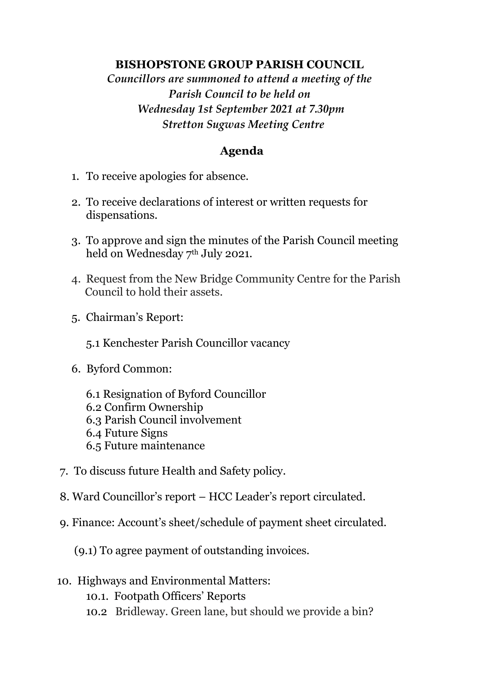### **BISHOPSTONE GROUP PARISH COUNCIL**

*Councillors are summoned to attend a meeting of the Parish Council to be held on Wednesday 1st September 2021 at 7.30pm Stretton Sugwas Meeting Centre*

# **Agenda**

- 1. To receive apologies for absence.
- 2. To receive declarations of interest or written requests for dispensations.
- 3. To approve and sign the minutes of the Parish Council meeting held on Wednesday 7th July 2021.
- 4. Request from the New Bridge Community Centre for the Parish Council to hold their assets.
- 5. Chairman's Report:
	- 5.1 Kenchester Parish Councillor vacancy
- 6. Byford Common:
	- 6.1 Resignation of Byford Councillor 6.2 Confirm Ownership 6.3 Parish Council involvement 6.4 Future Signs 6.5 Future maintenance
- 7. To discuss future Health and Safety policy.
- 8. Ward Councillor's report HCC Leader's report circulated.
- 9. Finance: Account's sheet/schedule of payment sheet circulated.

(9.1) To agree payment of outstanding invoices.

- 10. Highways and Environmental Matters:
	- 10.1. Footpath Officers' Reports
	- 10.2 Bridleway. Green lane, but should we provide a bin?